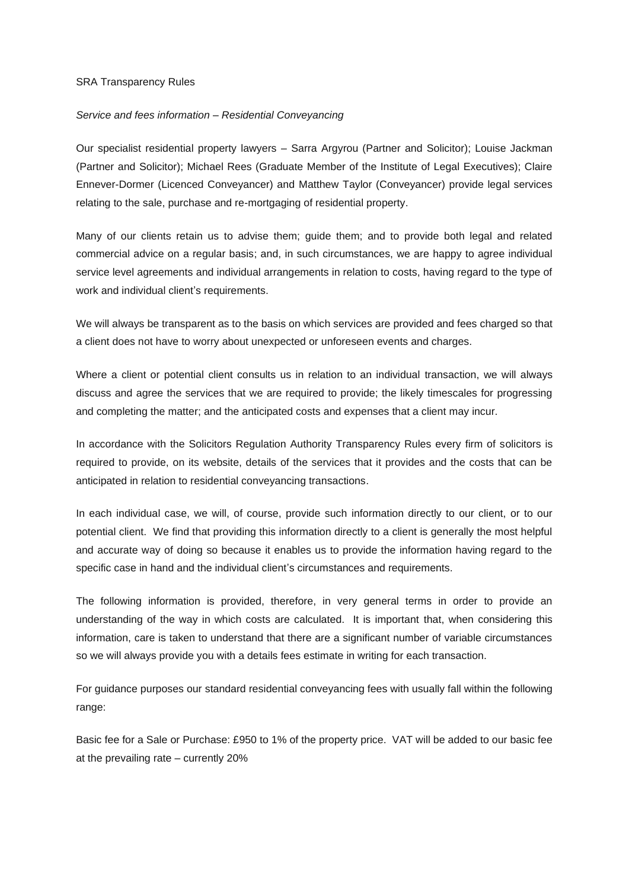## SRA Transparency Rules

## *Service and fees information – Residential Conveyancing*

Our specialist residential property lawyers – Sarra Argyrou (Partner and Solicitor); Louise Jackman (Partner and Solicitor); Michael Rees (Graduate Member of the Institute of Legal Executives); Claire Ennever-Dormer (Licenced Conveyancer) and Matthew Taylor (Conveyancer) provide legal services relating to the sale, purchase and re-mortgaging of residential property.

Many of our clients retain us to advise them; guide them; and to provide both legal and related commercial advice on a regular basis; and, in such circumstances, we are happy to agree individual service level agreements and individual arrangements in relation to costs, having regard to the type of work and individual client's requirements.

We will always be transparent as to the basis on which services are provided and fees charged so that a client does not have to worry about unexpected or unforeseen events and charges.

Where a client or potential client consults us in relation to an individual transaction, we will always discuss and agree the services that we are required to provide; the likely timescales for progressing and completing the matter; and the anticipated costs and expenses that a client may incur.

In accordance with the Solicitors Regulation Authority Transparency Rules every firm of solicitors is required to provide, on its website, details of the services that it provides and the costs that can be anticipated in relation to residential conveyancing transactions.

In each individual case, we will, of course, provide such information directly to our client, or to our potential client. We find that providing this information directly to a client is generally the most helpful and accurate way of doing so because it enables us to provide the information having regard to the specific case in hand and the individual client's circumstances and requirements.

The following information is provided, therefore, in very general terms in order to provide an understanding of the way in which costs are calculated. It is important that, when considering this information, care is taken to understand that there are a significant number of variable circumstances so we will always provide you with a details fees estimate in writing for each transaction.

For guidance purposes our standard residential conveyancing fees with usually fall within the following range:

Basic fee for a Sale or Purchase: £950 to 1% of the property price. VAT will be added to our basic fee at the prevailing rate – currently 20%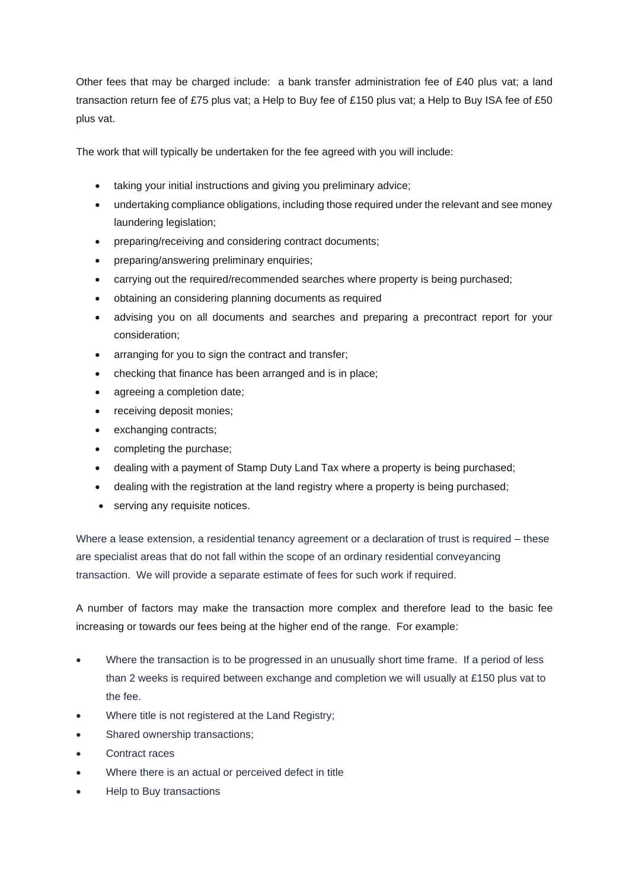Other fees that may be charged include: a bank transfer administration fee of £40 plus vat; a land transaction return fee of £75 plus vat; a Help to Buy fee of £150 plus vat; a Help to Buy ISA fee of £50 plus vat.

The work that will typically be undertaken for the fee agreed with you will include:

- taking your initial instructions and giving you preliminary advice;
- undertaking compliance obligations, including those required under the relevant and see money laundering legislation;
- preparing/receiving and considering contract documents;
- preparing/answering preliminary enquiries;
- carrying out the required/recommended searches where property is being purchased;
- obtaining an considering planning documents as required
- advising you on all documents and searches and preparing a precontract report for your consideration;
- arranging for you to sign the contract and transfer;
- checking that finance has been arranged and is in place;
- agreeing a completion date;
- receiving deposit monies;
- exchanging contracts;
- completing the purchase;
- dealing with a payment of Stamp Duty Land Tax where a property is being purchased;
- dealing with the registration at the land registry where a property is being purchased;
- serving any requisite notices.

Where a lease extension, a residential tenancy agreement or a declaration of trust is required – these are specialist areas that do not fall within the scope of an ordinary residential conveyancing transaction. We will provide a separate estimate of fees for such work if required.

A number of factors may make the transaction more complex and therefore lead to the basic fee increasing or towards our fees being at the higher end of the range. For example:

- Where the transaction is to be progressed in an unusually short time frame. If a period of less than 2 weeks is required between exchange and completion we will usually at £150 plus vat to the fee.
- Where title is not registered at the Land Registry;
- Shared ownership transactions:
- Contract races
- Where there is an actual or perceived defect in title
- Help to Buy transactions